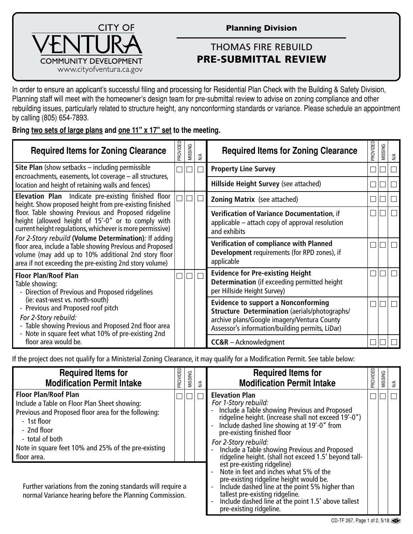

## **Planning Division**

## THOMAS FIRE REBUILD PRE-SUBMITTAL REVIEW

In order to ensure an applicant's successful filing and processing for Residential Plan Check with the Building & Safety Division, Planning staff will meet with the homeowner's design team for pre-submittal review to advise on zoning compliance and other rebuilding issues, particularly related to structure height, any nonconforming standards or variance. Please schedule an appointment by calling (805) 654-7893.

## **Bring two sets of large plans and one 11" x 17" set to the meeting.**

| <b>Required Items for Zoning Clearance</b>                                                                                                                                                                                                                                                       | <b>GRONDED</b> | MISSING | $\lessgtr$                                                                                                                                                                                    | <b>Required Items for Zoning Clearance</b>                                                                             | <b>GROVIDED</b> | MISSING | $\leq$                      |
|--------------------------------------------------------------------------------------------------------------------------------------------------------------------------------------------------------------------------------------------------------------------------------------------------|----------------|---------|-----------------------------------------------------------------------------------------------------------------------------------------------------------------------------------------------|------------------------------------------------------------------------------------------------------------------------|-----------------|---------|-----------------------------|
| <b>Site Plan</b> (show setbacks $-$ including permissible                                                                                                                                                                                                                                        | $\Box$         | П       | $\Box$                                                                                                                                                                                        | <b>Property Line Survey</b>                                                                                            |                 |         | $\Box$                      |
| encroachments, easements, lot coverage - all structures,<br>location and height of retaining walls and fences)                                                                                                                                                                                   |                |         |                                                                                                                                                                                               | Hillside Height Survey (see attached)                                                                                  |                 |         |                             |
| <b>Elevation Plan</b> Indicate pre-existing finished floor<br>height. Show proposed height from pre-existing finished<br>floor. Table showing Previous and Proposed ridgeline<br>height (allowed height of 15'-0" or to comply with<br>current height regulations, whichever is more permissive) |                |         | $\Box$                                                                                                                                                                                        | <b>Zoning Matrix</b> (see attached)                                                                                    |                 |         |                             |
|                                                                                                                                                                                                                                                                                                  |                |         |                                                                                                                                                                                               | <b>Verification of Variance Documentation, if</b><br>applicable – attach copy of approval resolution<br>and exhibits   | $\Box$          |         | $\Box$                      |
| For 2-Story rebuild (Volume Determination): If adding<br>floor area, include a Table showing Previous and Proposed<br>volume (may add up to 10% additional 2nd story floor<br>area if not exceeding the pre-existing 2nd story volume)                                                           |                |         |                                                                                                                                                                                               | Verification of compliance with Planned<br>Development requirements (for RPD zones), if<br>applicable                  |                 |         | $\mathcal{L}_{\mathcal{A}}$ |
| <b>Floor Plan/Roof Plan</b><br>Table showing:<br>- Direction of Previous and Proposed ridgelines                                                                                                                                                                                                 |                | П       | $\Box$                                                                                                                                                                                        | <b>Evidence for Pre-existing Height</b><br>Determination (if exceeding permitted height<br>per Hillside Height Survey) |                 |         | $\Box$                      |
| (ie: east-west vs. north-south)<br>- Previous and Proposed roof pitch<br>For 2-Story rebuild:<br>- Table showing Previous and Proposed 2nd floor area<br>- Note in square feet what 10% of pre-existing 2nd                                                                                      |                |         | <b>Evidence to support a Nonconforming</b><br>Structure Determination (aerials/photographs/<br>archive plans/Google imagery/Ventura County<br>Assessor's information/building permits, LiDar) |                                                                                                                        |                 | $\Box$  |                             |
| floor area would be.                                                                                                                                                                                                                                                                             |                |         |                                                                                                                                                                                               | $CC&R - Acknowledgment$                                                                                                |                 |         |                             |

If the project does not qualify for a Ministerial Zoning Clearance, it may qualify for a Modification Permit. See table below:

| <b>Required Items for</b><br><b>Modification Permit Intake</b>                                                                                                                                                                                            | <b>THOMORE</b> | MISSING | $\lessgtr$ | <b>Required Items for</b><br><b>Modification Permit Intake</b>                                                                                                                                                                                                                                                                                                        | PROVIDED | MISSING | $\leq$ |
|-----------------------------------------------------------------------------------------------------------------------------------------------------------------------------------------------------------------------------------------------------------|----------------|---------|------------|-----------------------------------------------------------------------------------------------------------------------------------------------------------------------------------------------------------------------------------------------------------------------------------------------------------------------------------------------------------------------|----------|---------|--------|
| <b>Floor Plan/Roof Plan</b><br>Include a Table on Floor Plan Sheet showing:<br>Previous and Proposed floor area for the following:<br>- 1st floor<br>- 2nd floor<br>- total of both<br>Note in square feet 10% and 25% of the pre-existing<br>floor area. |                |         |            | <b>Elevation Plan</b><br>For 1-Story rebuild:<br>Include a Table showing Previous and Proposed<br>ridgeline height. (increase shall not exceed 19'-0")<br>Include dashed line showing at 19'-0" from<br>pre-existing finished floor<br>For 2-Story rebuild:<br>Include a Table showing Previous and Proposed<br>ridgeline height. (shall not exceed 1.5' beyond tall- |          |         |        |
| Further variations from the zoning standards will require a<br>normal Variance hearing before the Planning Commission.                                                                                                                                    |                |         |            | est pre-existing ridgeline)<br>Note in feet and inches what 5% of the<br>pre-existing ridgeline height would be.<br>Include dashed line at the point 5% higher than<br>tallest pre-existing ridgeline.<br>Include dashed line at the point 1.5' above tallest<br>pre-existing ridgeline.                                                                              |          |         |        |

CD-TF 267, Page 1 of 2, 5/18